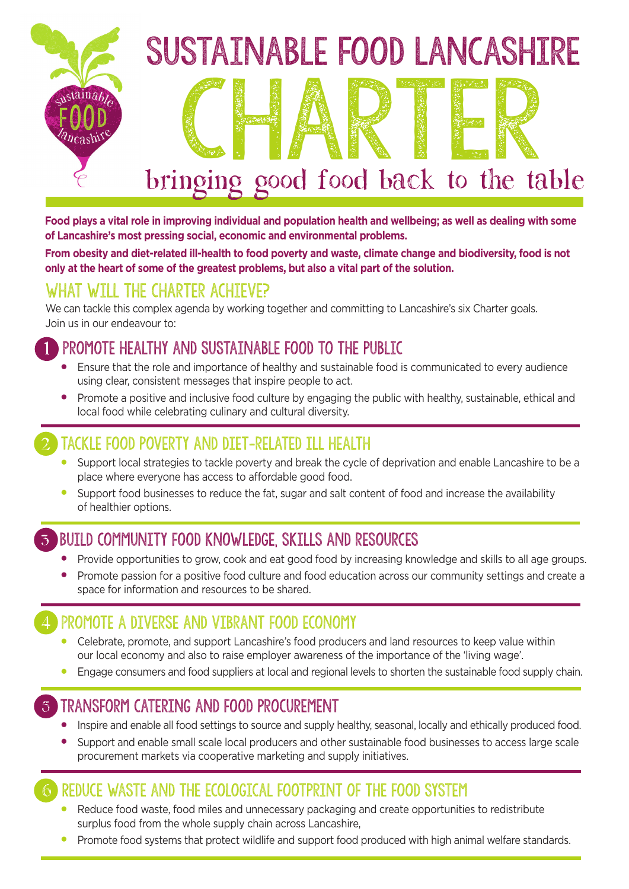

**Food plays a vital role in improving individual and population health and wellbeing; as well as dealing with some of Lancashire's most pressing social, economic and environmental problems.** 

**From obesity and diet-related ill-health to food poverty and waste, climate change and biodiversity, food is not only at the heart of some of the greatest problems, but also a vital part of the solution.** 

#### What will the Charter achieve?

We can tackle this complex agenda by working together and committing to Lancashire's six Charter goals. Join us in our endeavour to:

#### 1 Promote healthy and sustainable food to the public

- Ensure that the role and importance of healthy and sustainable food is communicated to every audience using clear, consistent messages that inspire people to act.
- Promote a positive and inclusive food culture by engaging the public with healthy, sustainable, ethical and local food while celebrating culinary and cultural diversity.

#### 2 Tackle food poverty and diet-related ill health

- Support local strategies to tackle poverty and break the cycle of deprivation and enable Lancashire to be a place where everyone has access to affordable good food.
- Support food businesses to reduce the fat, sugar and salt content of food and increase the availability of healthier options.

#### 3 Build community food knowledge, skills and resources

- Provide opportunities to grow, cook and eat good food by increasing knowledge and skills to all age groups.
- Promote passion for a positive food culture and food education across our community settings and create a space for information and resources to be shared.

#### 4 Promote a diverse and vibrant food economy

- Celebrate, promote, and support Lancashire's food producers and land resources to keep value within our local economy and also to raise employer awareness of the importance of the 'living wage'.
- Engage consumers and food suppliers at local and regional levels to shorten the sustainable food supply chain.

#### 5 Transform catering and food procurement

- Inspire and enable all food settings to source and supply healthy, seasonal, locally and ethically produced food.
- Support and enable small scale local producers and other sustainable food businesses to access large scale procurement markets via cooperative marketing and supply initiatives.

#### REDUCE WASTE AND THE ECOLOGICAL FOOTPRINT OF THE FOOD SYSTEM

- Reduce food waste, food miles and unnecessary packaging and create opportunities to redistribute surplus food from the whole supply chain across Lancashire,
- Promote food systems that protect wildlife and support food produced with high animal welfare standards.